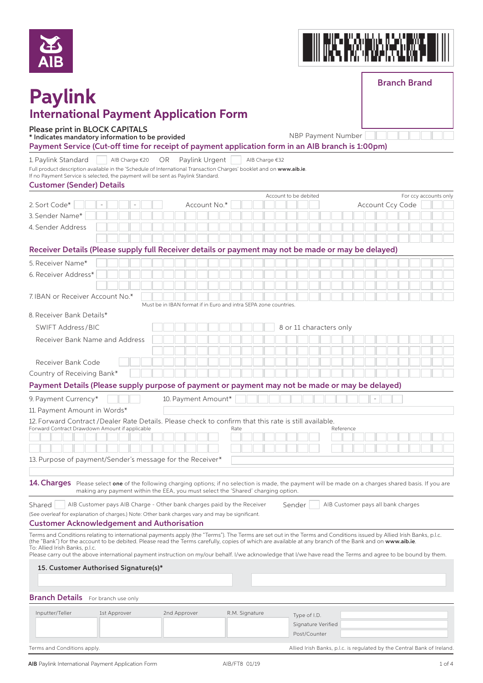



Branch Brand

# **Paylink International Payment Application Form**

### Please print in BLOCK CAPITALS

\* Indicates mandatory information to be provided NBP Payment Number

### Payment Service (Cut-off time for receipt of payment application form in an AIB branch is 1:00pm)

1. Paylink Standard | | AIB Charge €20 OR Paylink Urgent | | AIB Charge €32

Full product description available in the 'Schedule of International Transaction Charges' booklet and on www.aib.ie. If ansaction<br>link Standard.

| If no Payment Service is selected, the payment will be sent as Payli |  |  |  |  |  |
|----------------------------------------------------------------------|--|--|--|--|--|
|                                                                      |  |  |  |  |  |

| <b>Customer (Sender) Details</b> |  |  |  |
|----------------------------------|--|--|--|
|----------------------------------|--|--|--|

|                                                                                                                                                                                                                                                                                                                                |                                                                                  |  |                                                                  |                     |  |              |                |  |  | Account to be debited |                    |  |                         |           |  |                                    |  | For ccy accounts only                                                   |
|--------------------------------------------------------------------------------------------------------------------------------------------------------------------------------------------------------------------------------------------------------------------------------------------------------------------------------|----------------------------------------------------------------------------------|--|------------------------------------------------------------------|---------------------|--|--------------|----------------|--|--|-----------------------|--------------------|--|-------------------------|-----------|--|------------------------------------|--|-------------------------------------------------------------------------|
| 2. Sort Code*                                                                                                                                                                                                                                                                                                                  |                                                                                  |  |                                                                  |                     |  | Account No.* |                |  |  |                       |                    |  |                         |           |  | Account Ccy Code                   |  |                                                                         |
| 3. Sender Name*                                                                                                                                                                                                                                                                                                                |                                                                                  |  |                                                                  |                     |  |              |                |  |  |                       |                    |  |                         |           |  |                                    |  |                                                                         |
| 4. Sender Address                                                                                                                                                                                                                                                                                                              |                                                                                  |  |                                                                  |                     |  |              |                |  |  |                       |                    |  |                         |           |  |                                    |  |                                                                         |
|                                                                                                                                                                                                                                                                                                                                |                                                                                  |  |                                                                  |                     |  |              |                |  |  |                       |                    |  |                         |           |  |                                    |  |                                                                         |
| Receiver Details (Please supply full Receiver details or payment may not be made or may be delayed)                                                                                                                                                                                                                            |                                                                                  |  |                                                                  |                     |  |              |                |  |  |                       |                    |  |                         |           |  |                                    |  |                                                                         |
| 5. Receiver Name*                                                                                                                                                                                                                                                                                                              |                                                                                  |  |                                                                  |                     |  |              |                |  |  |                       |                    |  |                         |           |  |                                    |  |                                                                         |
| 6. Receiver Address*                                                                                                                                                                                                                                                                                                           |                                                                                  |  |                                                                  |                     |  |              |                |  |  |                       |                    |  |                         |           |  |                                    |  |                                                                         |
|                                                                                                                                                                                                                                                                                                                                |                                                                                  |  |                                                                  |                     |  |              |                |  |  |                       |                    |  |                         |           |  |                                    |  |                                                                         |
| 7. IBAN or Receiver Account No.*                                                                                                                                                                                                                                                                                               |                                                                                  |  |                                                                  |                     |  |              |                |  |  |                       |                    |  |                         |           |  |                                    |  |                                                                         |
|                                                                                                                                                                                                                                                                                                                                |                                                                                  |  | Must be in IBAN format if in Euro and intra SEPA zone countries. |                     |  |              |                |  |  |                       |                    |  |                         |           |  |                                    |  |                                                                         |
| 8. Receiver Bank Details*                                                                                                                                                                                                                                                                                                      |                                                                                  |  |                                                                  |                     |  |              |                |  |  |                       |                    |  |                         |           |  |                                    |  |                                                                         |
| SWIFT Address/BIC                                                                                                                                                                                                                                                                                                              |                                                                                  |  |                                                                  |                     |  |              |                |  |  |                       |                    |  | 8 or 11 characters only |           |  |                                    |  |                                                                         |
| Receiver Bank Name and Address                                                                                                                                                                                                                                                                                                 |                                                                                  |  |                                                                  |                     |  |              |                |  |  |                       |                    |  |                         |           |  |                                    |  |                                                                         |
|                                                                                                                                                                                                                                                                                                                                |                                                                                  |  |                                                                  |                     |  |              |                |  |  |                       |                    |  |                         |           |  |                                    |  |                                                                         |
| Receiver Bank Code                                                                                                                                                                                                                                                                                                             |                                                                                  |  |                                                                  |                     |  |              |                |  |  |                       |                    |  |                         |           |  |                                    |  |                                                                         |
| Country of Receiving Bank*                                                                                                                                                                                                                                                                                                     |                                                                                  |  |                                                                  |                     |  |              |                |  |  |                       |                    |  |                         |           |  |                                    |  |                                                                         |
| Payment Details (Please supply purpose of payment or payment may not be made or may be delayed)                                                                                                                                                                                                                                |                                                                                  |  |                                                                  |                     |  |              |                |  |  |                       |                    |  |                         |           |  |                                    |  |                                                                         |
|                                                                                                                                                                                                                                                                                                                                |                                                                                  |  |                                                                  |                     |  |              |                |  |  |                       |                    |  |                         |           |  |                                    |  |                                                                         |
| 9. Payment Currency*                                                                                                                                                                                                                                                                                                           |                                                                                  |  |                                                                  | 10. Payment Amount* |  |              |                |  |  |                       |                    |  |                         |           |  |                                    |  |                                                                         |
| 11. Payment Amount in Words*                                                                                                                                                                                                                                                                                                   |                                                                                  |  |                                                                  |                     |  |              |                |  |  |                       |                    |  |                         |           |  |                                    |  |                                                                         |
| 12. Forward Contract / Dealer Rate Details. Please check to confirm that this rate is still available.<br>Forward Contract Drawdown Amount if applicable                                                                                                                                                                       |                                                                                  |  |                                                                  |                     |  |              | Rate           |  |  |                       |                    |  |                         | Reference |  |                                    |  |                                                                         |
|                                                                                                                                                                                                                                                                                                                                |                                                                                  |  |                                                                  |                     |  |              |                |  |  |                       |                    |  |                         |           |  |                                    |  |                                                                         |
|                                                                                                                                                                                                                                                                                                                                |                                                                                  |  |                                                                  |                     |  |              |                |  |  |                       |                    |  |                         |           |  |                                    |  |                                                                         |
| 13. Purpose of payment/Sender's message for the Receiver*                                                                                                                                                                                                                                                                      |                                                                                  |  |                                                                  |                     |  |              |                |  |  |                       |                    |  |                         |           |  |                                    |  |                                                                         |
|                                                                                                                                                                                                                                                                                                                                |                                                                                  |  |                                                                  |                     |  |              |                |  |  |                       |                    |  |                         |           |  |                                    |  |                                                                         |
| 14. Charges Please select one of the following charging options; if no selection is made, the payment will be made on a charges shared basis. If you are                                                                                                                                                                       |                                                                                  |  |                                                                  |                     |  |              |                |  |  |                       |                    |  |                         |           |  |                                    |  |                                                                         |
|                                                                                                                                                                                                                                                                                                                                | making any payment within the EEA, you must select the 'Shared' charging option. |  |                                                                  |                     |  |              |                |  |  |                       |                    |  |                         |           |  |                                    |  |                                                                         |
| AIB Customer pays AIB Charge - Other bank charges paid by the Receiver<br>Shared                                                                                                                                                                                                                                               |                                                                                  |  |                                                                  |                     |  |              |                |  |  | Sender                |                    |  |                         |           |  | AIB Customer pays all bank charges |  |                                                                         |
| (See overleaf for explanation of charges.) Note: Other bank charges vary and may be significant.                                                                                                                                                                                                                               |                                                                                  |  |                                                                  |                     |  |              |                |  |  |                       |                    |  |                         |           |  |                                    |  |                                                                         |
| <b>Customer Acknowledgement and Authorisation</b>                                                                                                                                                                                                                                                                              |                                                                                  |  |                                                                  |                     |  |              |                |  |  |                       |                    |  |                         |           |  |                                    |  |                                                                         |
| Terms and Conditions relating to international payments apply (the "Terms"). The Terms are set out in the Terms and Conditions issued by Allied Irish Banks, p.l.c.<br>(the "Bank") for the account to be debited. Please read the Terms carefully, copies of which are available at any branch of the Bank and on www.aib.ie. |                                                                                  |  |                                                                  |                     |  |              |                |  |  |                       |                    |  |                         |           |  |                                    |  |                                                                         |
| To: Allied Irish Banks, p.l.c.                                                                                                                                                                                                                                                                                                 |                                                                                  |  |                                                                  |                     |  |              |                |  |  |                       |                    |  |                         |           |  |                                    |  |                                                                         |
| Please carry out the above international payment instruction on my/our behalf. I/we acknowledge that I/we have read the Terms and agree to be bound by them.                                                                                                                                                                   |                                                                                  |  |                                                                  |                     |  |              |                |  |  |                       |                    |  |                         |           |  |                                    |  |                                                                         |
| 15. Customer Authorised Signature(s)*                                                                                                                                                                                                                                                                                          |                                                                                  |  |                                                                  |                     |  |              |                |  |  |                       |                    |  |                         |           |  |                                    |  |                                                                         |
|                                                                                                                                                                                                                                                                                                                                |                                                                                  |  |                                                                  |                     |  |              |                |  |  |                       |                    |  |                         |           |  |                                    |  |                                                                         |
| <b>Branch Details</b> For branch use only                                                                                                                                                                                                                                                                                      |                                                                                  |  |                                                                  |                     |  |              |                |  |  |                       |                    |  |                         |           |  |                                    |  |                                                                         |
|                                                                                                                                                                                                                                                                                                                                |                                                                                  |  |                                                                  |                     |  |              |                |  |  |                       |                    |  |                         |           |  |                                    |  |                                                                         |
| Inputter/Teller                                                                                                                                                                                                                                                                                                                | 1st Approver                                                                     |  |                                                                  | 2nd Approver        |  |              | R.M. Signature |  |  |                       | Type of I.D.       |  |                         |           |  |                                    |  |                                                                         |
|                                                                                                                                                                                                                                                                                                                                |                                                                                  |  |                                                                  |                     |  |              |                |  |  |                       | Signature Verified |  |                         |           |  |                                    |  |                                                                         |
|                                                                                                                                                                                                                                                                                                                                |                                                                                  |  |                                                                  |                     |  |              |                |  |  |                       | Post/Counter       |  |                         |           |  |                                    |  |                                                                         |
| Terms and Conditions apply.                                                                                                                                                                                                                                                                                                    |                                                                                  |  |                                                                  |                     |  |              |                |  |  |                       |                    |  |                         |           |  |                                    |  | Allied Irish Banks, p.l.c. is regulated by the Central Bank of Ireland. |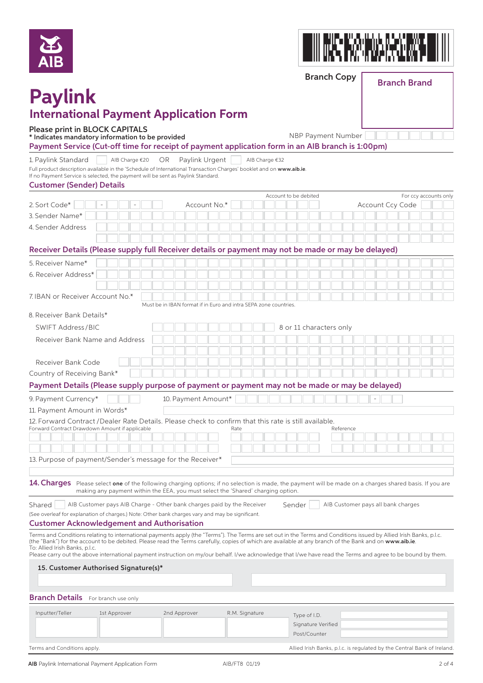



Branch Copy

### Branch Brand

## **Paylink International Payment Application Form**

#### Please print in BLOCK CAPITALS

\* Indicates mandatory information to be provided NBP Payment Number

Payment Service (Cut-off time for receipt of payment application form in an AIB branch is 1:00pm)

1. Paylink Standard | | AIB Charge €20 OR Paylink Urgent | | AIB Charge €32

Full product description available in the 'Schedule of International Transaction Charges' booklet and on **www.aib.ie**.<br>If no Payment Service is selected, the payment will be sent as Paylink Standard.

| Custamor (Sandor) Dotails                                          |  |  |  |  |
|--------------------------------------------------------------------|--|--|--|--|
| If no Payment Service is selected, the payment will be sent as Pay |  |  |  |  |

|                                                                                                                                                                                                                                                                                                                                                                                                                                                                                                                                           |  |  |  |                     |                                                                  |  | Account to be debited |  |                         |           |  |                                    |  | For ccy accounts only |  |
|-------------------------------------------------------------------------------------------------------------------------------------------------------------------------------------------------------------------------------------------------------------------------------------------------------------------------------------------------------------------------------------------------------------------------------------------------------------------------------------------------------------------------------------------|--|--|--|---------------------|------------------------------------------------------------------|--|-----------------------|--|-------------------------|-----------|--|------------------------------------|--|-----------------------|--|
| 2. Sort Code*                                                                                                                                                                                                                                                                                                                                                                                                                                                                                                                             |  |  |  | Account No.*        |                                                                  |  |                       |  |                         |           |  | Account Ccy Code                   |  |                       |  |
| 3. Sender Name*                                                                                                                                                                                                                                                                                                                                                                                                                                                                                                                           |  |  |  |                     |                                                                  |  |                       |  |                         |           |  |                                    |  |                       |  |
| 4. Sender Address                                                                                                                                                                                                                                                                                                                                                                                                                                                                                                                         |  |  |  |                     |                                                                  |  |                       |  |                         |           |  |                                    |  |                       |  |
|                                                                                                                                                                                                                                                                                                                                                                                                                                                                                                                                           |  |  |  |                     |                                                                  |  |                       |  |                         |           |  |                                    |  |                       |  |
| Receiver Details (Please supply full Receiver details or payment may not be made or may be delayed)                                                                                                                                                                                                                                                                                                                                                                                                                                       |  |  |  |                     |                                                                  |  |                       |  |                         |           |  |                                    |  |                       |  |
| 5. Receiver Name*                                                                                                                                                                                                                                                                                                                                                                                                                                                                                                                         |  |  |  |                     |                                                                  |  |                       |  |                         |           |  |                                    |  |                       |  |
| 6. Receiver Address*                                                                                                                                                                                                                                                                                                                                                                                                                                                                                                                      |  |  |  |                     |                                                                  |  |                       |  |                         |           |  |                                    |  |                       |  |
|                                                                                                                                                                                                                                                                                                                                                                                                                                                                                                                                           |  |  |  |                     |                                                                  |  |                       |  |                         |           |  |                                    |  |                       |  |
| 7. IBAN or Receiver Account No.*                                                                                                                                                                                                                                                                                                                                                                                                                                                                                                          |  |  |  |                     |                                                                  |  |                       |  |                         |           |  |                                    |  |                       |  |
| 8. Receiver Bank Details*                                                                                                                                                                                                                                                                                                                                                                                                                                                                                                                 |  |  |  |                     | Must be in IBAN format if in Euro and intra SEPA zone countries. |  |                       |  |                         |           |  |                                    |  |                       |  |
| <b>SWIFT Address/BIC</b>                                                                                                                                                                                                                                                                                                                                                                                                                                                                                                                  |  |  |  |                     |                                                                  |  |                       |  | 8 or 11 characters only |           |  |                                    |  |                       |  |
| Receiver Bank Name and Address                                                                                                                                                                                                                                                                                                                                                                                                                                                                                                            |  |  |  |                     |                                                                  |  |                       |  |                         |           |  |                                    |  |                       |  |
|                                                                                                                                                                                                                                                                                                                                                                                                                                                                                                                                           |  |  |  |                     |                                                                  |  |                       |  |                         |           |  |                                    |  |                       |  |
| Receiver Bank Code                                                                                                                                                                                                                                                                                                                                                                                                                                                                                                                        |  |  |  |                     |                                                                  |  |                       |  |                         |           |  |                                    |  |                       |  |
| Country of Receiving Bank*                                                                                                                                                                                                                                                                                                                                                                                                                                                                                                                |  |  |  |                     |                                                                  |  |                       |  |                         |           |  |                                    |  |                       |  |
| Payment Details (Please supply purpose of payment or payment may not be made or may be delayed)                                                                                                                                                                                                                                                                                                                                                                                                                                           |  |  |  |                     |                                                                  |  |                       |  |                         |           |  |                                    |  |                       |  |
|                                                                                                                                                                                                                                                                                                                                                                                                                                                                                                                                           |  |  |  |                     |                                                                  |  |                       |  |                         |           |  | L,                                 |  |                       |  |
| 9. Payment Currency*<br>11. Payment Amount in Words*                                                                                                                                                                                                                                                                                                                                                                                                                                                                                      |  |  |  | 10. Payment Amount* |                                                                  |  |                       |  |                         |           |  |                                    |  |                       |  |
| 12. Forward Contract / Dealer Rate Details. Please check to confirm that this rate is still available.                                                                                                                                                                                                                                                                                                                                                                                                                                    |  |  |  |                     |                                                                  |  |                       |  |                         |           |  |                                    |  |                       |  |
| Forward Contract Drawdown Amount if applicable                                                                                                                                                                                                                                                                                                                                                                                                                                                                                            |  |  |  |                     | Rate                                                             |  |                       |  |                         | Reference |  |                                    |  |                       |  |
|                                                                                                                                                                                                                                                                                                                                                                                                                                                                                                                                           |  |  |  |                     |                                                                  |  |                       |  |                         |           |  |                                    |  |                       |  |
|                                                                                                                                                                                                                                                                                                                                                                                                                                                                                                                                           |  |  |  |                     |                                                                  |  |                       |  |                         |           |  |                                    |  |                       |  |
| 13. Purpose of payment/Sender's message for the Receiver*                                                                                                                                                                                                                                                                                                                                                                                                                                                                                 |  |  |  |                     |                                                                  |  |                       |  |                         |           |  |                                    |  |                       |  |
|                                                                                                                                                                                                                                                                                                                                                                                                                                                                                                                                           |  |  |  |                     |                                                                  |  |                       |  |                         |           |  |                                    |  |                       |  |
| 14. Charges Please select one of the following charging options; if no selection is made, the payment will be made on a charges shared basis. If you are                                                                                                                                                                                                                                                                                                                                                                                  |  |  |  |                     |                                                                  |  |                       |  |                         |           |  |                                    |  |                       |  |
| making any payment within the EEA, you must select the 'Shared' charging option.                                                                                                                                                                                                                                                                                                                                                                                                                                                          |  |  |  |                     |                                                                  |  |                       |  |                         |           |  |                                    |  |                       |  |
| Shared<br>AIB Customer pays AIB Charge - Other bank charges paid by the Receiver                                                                                                                                                                                                                                                                                                                                                                                                                                                          |  |  |  |                     |                                                                  |  | Sender                |  |                         |           |  | AIB Customer pays all bank charges |  |                       |  |
| (See overleaf for explanation of charges.) Note: Other bank charges vary and may be significant.                                                                                                                                                                                                                                                                                                                                                                                                                                          |  |  |  |                     |                                                                  |  |                       |  |                         |           |  |                                    |  |                       |  |
| <b>Customer Acknowledgement and Authorisation</b>                                                                                                                                                                                                                                                                                                                                                                                                                                                                                         |  |  |  |                     |                                                                  |  |                       |  |                         |           |  |                                    |  |                       |  |
| Terms and Conditions relating to international payments apply (the "Terms"). The Terms are set out in the Terms and Conditions issued by Allied Irish Banks, p.l.c.<br>(the "Bank") for the account to be debited. Please read the Terms carefully, copies of which are available at any branch of the Bank and on www.a <b>ib.ie</b> .<br>To: Allied Irish Banks, p.l.c.<br>Please carry out the above international payment instruction on my/our behalf. I/we acknowledge that I/we have read the Terms and agree to be bound by them. |  |  |  |                     |                                                                  |  |                       |  |                         |           |  |                                    |  |                       |  |
| 15. Customer Authorised Signature(s)*                                                                                                                                                                                                                                                                                                                                                                                                                                                                                                     |  |  |  |                     |                                                                  |  |                       |  |                         |           |  |                                    |  |                       |  |
|                                                                                                                                                                                                                                                                                                                                                                                                                                                                                                                                           |  |  |  |                     |                                                                  |  |                       |  |                         |           |  |                                    |  |                       |  |
|                                                                                                                                                                                                                                                                                                                                                                                                                                                                                                                                           |  |  |  |                     |                                                                  |  |                       |  |                         |           |  |                                    |  |                       |  |
| <b>Branch Details</b> For branch use only                                                                                                                                                                                                                                                                                                                                                                                                                                                                                                 |  |  |  |                     |                                                                  |  |                       |  |                         |           |  |                                    |  |                       |  |

| Inputter/Teller             | 1st Approver | 2nd Approver | R.M. Signature | Type of I.D.<br>Signature Verified<br>Post/Counter                      |
|-----------------------------|--------------|--------------|----------------|-------------------------------------------------------------------------|
| Terms and Conditions apply. |              |              |                | Allied Irish Banks, p.l.c. is regulated by the Central Bank of Ireland. |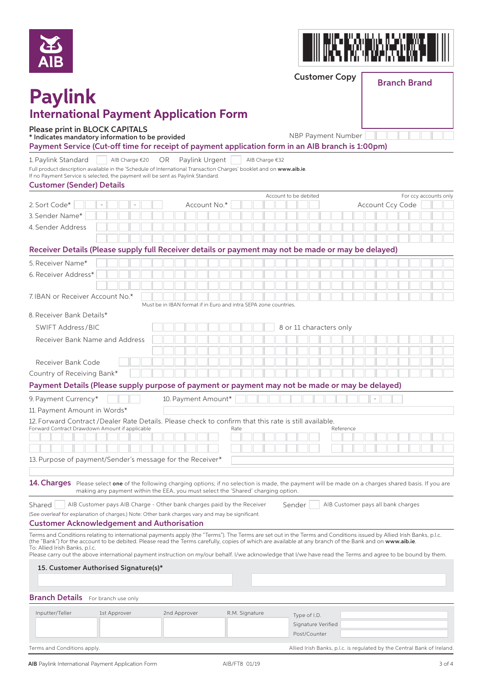



Customer Copy

### Branch Brand

## **Paylink International Payment Application Form**

#### Please print in BLOCK CAPITALS

\* Indicates mandatory information to be provided NBP Payment Number

Payment Service (Cut-off time for receipt of payment application form in an AIB branch is 1:00pm)

1. Paylink Standard | | AIB Charge €20 OR Paylink Urgent | | AIB Charge €32

Full product description available in the 'Schedule of International Transaction Charges' booklet and on www.aib.ie.<br>If a p Dave art Conitation is also that the accuract will be easted Davis Lot and and If a also be international mandaturem to pay the payment of the payment of the payment of the payment of the p

| <b>Customer (Sender) Details</b>                            |  |
|-------------------------------------------------------------|--|
| If no Payment Service is selected, the payment will be sent |  |

|                                                                                                                                                                                                                                                                                                                                         |                                                                  |                | Account to be debited |                                    |                                    |                          | For ccy accounts only |  |
|-----------------------------------------------------------------------------------------------------------------------------------------------------------------------------------------------------------------------------------------------------------------------------------------------------------------------------------------|------------------------------------------------------------------|----------------|-----------------------|------------------------------------|------------------------------------|--------------------------|-----------------------|--|
| 2. Sort Code*                                                                                                                                                                                                                                                                                                                           | Account No.*                                                     |                |                       |                                    |                                    | Account Ccy Code         |                       |  |
| 3. Sender Name*                                                                                                                                                                                                                                                                                                                         |                                                                  |                |                       |                                    |                                    |                          |                       |  |
| 4. Sender Address                                                                                                                                                                                                                                                                                                                       |                                                                  |                |                       |                                    |                                    |                          |                       |  |
|                                                                                                                                                                                                                                                                                                                                         |                                                                  |                |                       |                                    |                                    |                          |                       |  |
| Receiver Details (Please supply full Receiver details or payment may not be made or may be delayed)                                                                                                                                                                                                                                     |                                                                  |                |                       |                                    |                                    |                          |                       |  |
| 5. Receiver Name*                                                                                                                                                                                                                                                                                                                       |                                                                  |                |                       |                                    |                                    |                          |                       |  |
| 6. Receiver Address*                                                                                                                                                                                                                                                                                                                    |                                                                  |                |                       |                                    |                                    |                          |                       |  |
|                                                                                                                                                                                                                                                                                                                                         |                                                                  |                |                       |                                    |                                    |                          |                       |  |
| 7. IBAN or Receiver Account No.*                                                                                                                                                                                                                                                                                                        |                                                                  |                |                       |                                    |                                    |                          |                       |  |
|                                                                                                                                                                                                                                                                                                                                         | Must be in IBAN format if in Euro and intra SEPA zone countries. |                |                       |                                    |                                    |                          |                       |  |
| 8. Receiver Bank Details*                                                                                                                                                                                                                                                                                                               |                                                                  |                |                       |                                    |                                    |                          |                       |  |
| <b>SWIFT Address/BIC</b>                                                                                                                                                                                                                                                                                                                |                                                                  |                |                       | 8 or 11 characters only            |                                    |                          |                       |  |
| Receiver Bank Name and Address                                                                                                                                                                                                                                                                                                          |                                                                  |                |                       |                                    |                                    |                          |                       |  |
|                                                                                                                                                                                                                                                                                                                                         |                                                                  |                |                       |                                    |                                    |                          |                       |  |
| Receiver Bank Code                                                                                                                                                                                                                                                                                                                      |                                                                  |                |                       |                                    |                                    |                          |                       |  |
| Country of Receiving Bank*                                                                                                                                                                                                                                                                                                              |                                                                  |                |                       |                                    |                                    |                          |                       |  |
| Payment Details (Please supply purpose of payment or payment may not be made or may be delayed)                                                                                                                                                                                                                                         |                                                                  |                |                       |                                    |                                    |                          |                       |  |
| 9. Payment Currency*                                                                                                                                                                                                                                                                                                                    | 10. Payment Amount*                                              |                |                       |                                    |                                    | $\overline{\phantom{a}}$ |                       |  |
| 11. Payment Amount in Words*                                                                                                                                                                                                                                                                                                            |                                                                  |                |                       |                                    |                                    |                          |                       |  |
| 12. Forward Contract / Dealer Rate Details. Please check to confirm that this rate is still available.                                                                                                                                                                                                                                  |                                                                  |                |                       |                                    |                                    |                          |                       |  |
| Forward Contract Drawdown Amount if applicable                                                                                                                                                                                                                                                                                          |                                                                  | Rate           |                       |                                    | Reference                          |                          |                       |  |
|                                                                                                                                                                                                                                                                                                                                         |                                                                  |                |                       |                                    |                                    |                          |                       |  |
|                                                                                                                                                                                                                                                                                                                                         |                                                                  |                |                       |                                    |                                    |                          |                       |  |
| 13. Purpose of payment/Sender's message for the Receiver*                                                                                                                                                                                                                                                                               |                                                                  |                |                       |                                    |                                    |                          |                       |  |
|                                                                                                                                                                                                                                                                                                                                         |                                                                  |                |                       |                                    |                                    |                          |                       |  |
| 14. Charges Please select one of the following charging options; if no selection is made, the payment will be made on a charges shared basis. If you are                                                                                                                                                                                |                                                                  |                |                       |                                    |                                    |                          |                       |  |
| making any payment within the EEA, you must select the 'Shared' charging option.                                                                                                                                                                                                                                                        |                                                                  |                |                       |                                    |                                    |                          |                       |  |
| Shared<br>AIB Customer pays AIB Charge - Other bank charges paid by the Receiver                                                                                                                                                                                                                                                        |                                                                  |                | Sender                |                                    | AIB Customer pays all bank charges |                          |                       |  |
| (See overleaf for explanation of charges.) Note: Other bank charges vary and may be significant.                                                                                                                                                                                                                                        |                                                                  |                |                       |                                    |                                    |                          |                       |  |
| <b>Customer Acknowledgement and Authorisation</b>                                                                                                                                                                                                                                                                                       |                                                                  |                |                       |                                    |                                    |                          |                       |  |
| Terms and Conditions relating to international payments apply (the "Terms"). The Terms are set out in the Terms and Conditions issued by Allied Irish Banks, p.l.c.<br>(the "Bank") for the account to be debited. Please read the Terms carefully, copies of which are available at any branch of the Bank and on www.a <b>ib.ie</b> . |                                                                  |                |                       |                                    |                                    |                          |                       |  |
| To: Allied Irish Banks, p.l.c.                                                                                                                                                                                                                                                                                                          |                                                                  |                |                       |                                    |                                    |                          |                       |  |
| Please carry out the above international payment instruction on my/our behalf. I/we acknowledge that I/we have read the Terms and agree to be bound by them.                                                                                                                                                                            |                                                                  |                |                       |                                    |                                    |                          |                       |  |
| 15. Customer Authorised Signature(s)*                                                                                                                                                                                                                                                                                                   |                                                                  |                |                       |                                    |                                    |                          |                       |  |
|                                                                                                                                                                                                                                                                                                                                         |                                                                  |                |                       |                                    |                                    |                          |                       |  |
| <b>Branch Details</b><br>For branch use only                                                                                                                                                                                                                                                                                            |                                                                  |                |                       |                                    |                                    |                          |                       |  |
|                                                                                                                                                                                                                                                                                                                                         |                                                                  |                |                       |                                    |                                    |                          |                       |  |
| Inputter/Teller<br>1st Approver                                                                                                                                                                                                                                                                                                         | 2nd Approver                                                     | R.M. Signature |                       | Type of I.D.                       |                                    |                          |                       |  |
|                                                                                                                                                                                                                                                                                                                                         |                                                                  |                |                       | Signature Verified<br>Post/Counter |                                    |                          |                       |  |
|                                                                                                                                                                                                                                                                                                                                         |                                                                  |                |                       |                                    |                                    |                          |                       |  |